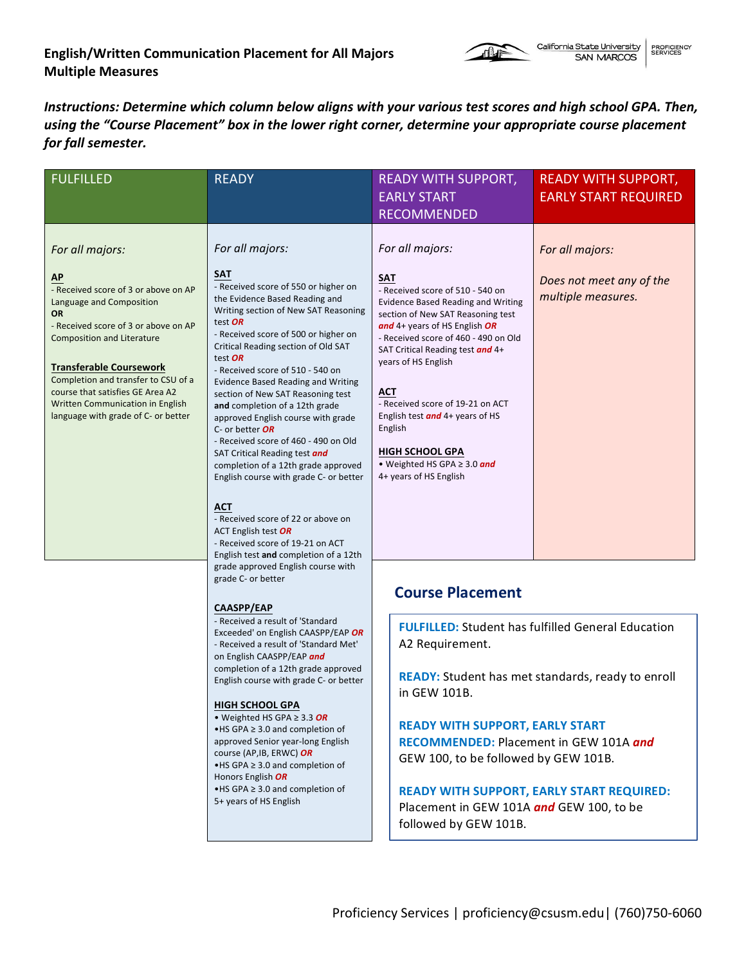Honors English **OR** 

5+ years of HS English 

•HS GPA ≥ 3.0 and completion of 



*Instructions: Determine which column below aligns with your various test scores and high school GPA. Then,* using the "Course Placement" box in the lower right corner, determine your appropriate course placement for fall semester.

| <b>FULFILLED</b>                                                                                                                                                                                                                                                                                                                                         | <b>READY</b>                                                                                                                                                                                                                                                                                                                                                                                                                                                                                                                                                                                                                                                     | <b>READY WITH SUPPORT,</b><br><b>EARLY START</b>                                                                                                                                                                                                                                                                                                                                                                                                             | <b>READY WITH SUPPORT,</b><br><b>EARLY START REQUIRED</b> |
|----------------------------------------------------------------------------------------------------------------------------------------------------------------------------------------------------------------------------------------------------------------------------------------------------------------------------------------------------------|------------------------------------------------------------------------------------------------------------------------------------------------------------------------------------------------------------------------------------------------------------------------------------------------------------------------------------------------------------------------------------------------------------------------------------------------------------------------------------------------------------------------------------------------------------------------------------------------------------------------------------------------------------------|--------------------------------------------------------------------------------------------------------------------------------------------------------------------------------------------------------------------------------------------------------------------------------------------------------------------------------------------------------------------------------------------------------------------------------------------------------------|-----------------------------------------------------------|
|                                                                                                                                                                                                                                                                                                                                                          |                                                                                                                                                                                                                                                                                                                                                                                                                                                                                                                                                                                                                                                                  | <b>RECOMMENDED</b>                                                                                                                                                                                                                                                                                                                                                                                                                                           |                                                           |
|                                                                                                                                                                                                                                                                                                                                                          |                                                                                                                                                                                                                                                                                                                                                                                                                                                                                                                                                                                                                                                                  |                                                                                                                                                                                                                                                                                                                                                                                                                                                              |                                                           |
| For all majors:                                                                                                                                                                                                                                                                                                                                          | For all majors:                                                                                                                                                                                                                                                                                                                                                                                                                                                                                                                                                                                                                                                  | For all majors:                                                                                                                                                                                                                                                                                                                                                                                                                                              | For all majors:                                           |
| ΑР<br>- Received score of 3 or above on AP<br>Language and Composition<br><b>OR</b><br>- Received score of 3 or above on AP<br><b>Composition and Literature</b><br><b>Transferable Coursework</b><br>Completion and transfer to CSU of a<br>course that satisfies GE Area A2<br>Written Communication in English<br>language with grade of C- or better | <b>SAT</b><br>- Received score of 550 or higher on<br>the Evidence Based Reading and<br>Writing section of New SAT Reasoning<br>test OR<br>- Received score of 500 or higher on<br>Critical Reading section of Old SAT<br>test OR<br>- Received score of 510 - 540 on<br><b>Evidence Based Reading and Writing</b><br>section of New SAT Reasoning test<br>and completion of a 12th grade<br>approved English course with grade<br>C- or better OR<br>- Received score of 460 - 490 on Old<br>SAT Critical Reading test and<br>completion of a 12th grade approved<br>English course with grade C- or better<br><b>ACT</b><br>- Received score of 22 or above on | <b>SAT</b><br>- Received score of 510 - 540 on<br><b>Evidence Based Reading and Writing</b><br>section of New SAT Reasoning test<br>and 4+ years of HS English OR<br>- Received score of 460 - 490 on Old<br>SAT Critical Reading test and 4+<br>years of HS English<br><b>ACT</b><br>- Received score of 19-21 on ACT<br>English test and 4+ years of HS<br>English<br><b>HIGH SCHOOL GPA</b><br>• Weighted HS GPA $\geq 3.0$ and<br>4+ years of HS English | Does not meet any of the<br>multiple measures.            |
|                                                                                                                                                                                                                                                                                                                                                          | ACT English test OR<br>- Received score of 19-21 on ACT                                                                                                                                                                                                                                                                                                                                                                                                                                                                                                                                                                                                          |                                                                                                                                                                                                                                                                                                                                                                                                                                                              |                                                           |
|                                                                                                                                                                                                                                                                                                                                                          | English test and completion of a 12th<br>grade approved English course with                                                                                                                                                                                                                                                                                                                                                                                                                                                                                                                                                                                      |                                                                                                                                                                                                                                                                                                                                                                                                                                                              |                                                           |
|                                                                                                                                                                                                                                                                                                                                                          | grade C- or better<br><b>CAASPP/EAP</b><br>- Received a result of 'Standard<br>Exceeded' on English CAASPP/EAP OR<br>- Received a result of 'Standard Met'<br>on English CAASPP/EAP and                                                                                                                                                                                                                                                                                                                                                                                                                                                                          | <b>Course Placement</b>                                                                                                                                                                                                                                                                                                                                                                                                                                      |                                                           |
|                                                                                                                                                                                                                                                                                                                                                          |                                                                                                                                                                                                                                                                                                                                                                                                                                                                                                                                                                                                                                                                  | <b>FULFILLED:</b> Student has fulfilled General Education<br>A2 Requirement.                                                                                                                                                                                                                                                                                                                                                                                 |                                                           |
|                                                                                                                                                                                                                                                                                                                                                          | completion of a 12th grade approved<br>English course with grade C- or better                                                                                                                                                                                                                                                                                                                                                                                                                                                                                                                                                                                    | <b>READY:</b> Student has met standards, ready to enroll<br>in GEW 101B.<br><b>READY WITH SUPPORT, EARLY START</b><br><b>RECOMMENDED: Placement in GEW 101A and</b><br>GEW 100, to be followed by GEW 101B.                                                                                                                                                                                                                                                  |                                                           |
|                                                                                                                                                                                                                                                                                                                                                          | <b>HIGH SCHOOL GPA</b><br>• Weighted HS GPA $\geq$ 3.3 OR<br>$\bullet$ HS GPA $\geq$ 3.0 and completion of<br>approved Senior year-long English<br>course (AP, IB, ERWC) OR<br>$\bullet$ HS GPA $\geq$ 3.0 and completion of                                                                                                                                                                                                                                                                                                                                                                                                                                     |                                                                                                                                                                                                                                                                                                                                                                                                                                                              |                                                           |

**READY WITH SUPPORT, EARLY START REQUIRED:** Placement in GEW 101A *and* GEW 100, to be followed by GEW 101B.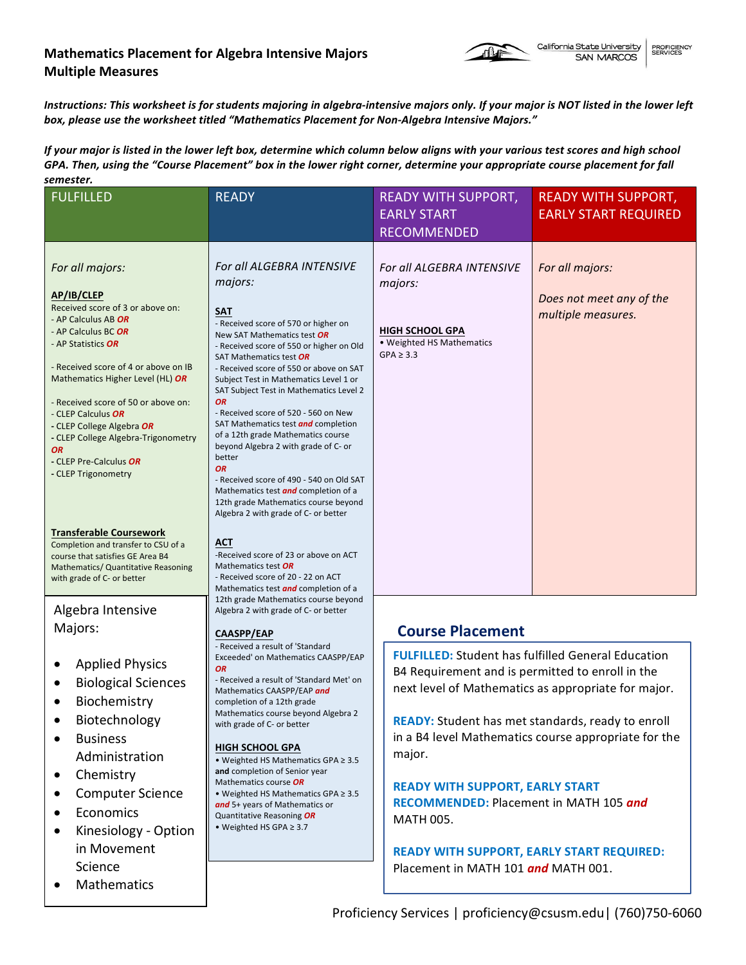## **Mathematics Placement for Algebra Intensive Majors Multiple Measures**



Instructions: This worksheet is for students majoring in algebra-intensive majors only. If your major is NOT listed in the lower left box, please use the worksheet titled "Mathematics Placement for Non-Algebra Intensive Majors."

*If* your major is listed in the lower left box, determine which column below aligns with your various test scores and high school GPA. Then, using the "Course Placement" box in the lower right corner, determine your appropriate course placement for fall

| semester.                                                                                                                                                                                                                                                                                                                                                                                                               |                                                                                                                                                                                                                                                                                                                                                                                                                                                                                                                                                                                                                                                               |                                                                                                                                                                                                                                                                                                                                                                                                                                                                                                       |                                                                   |  |  |
|-------------------------------------------------------------------------------------------------------------------------------------------------------------------------------------------------------------------------------------------------------------------------------------------------------------------------------------------------------------------------------------------------------------------------|---------------------------------------------------------------------------------------------------------------------------------------------------------------------------------------------------------------------------------------------------------------------------------------------------------------------------------------------------------------------------------------------------------------------------------------------------------------------------------------------------------------------------------------------------------------------------------------------------------------------------------------------------------------|-------------------------------------------------------------------------------------------------------------------------------------------------------------------------------------------------------------------------------------------------------------------------------------------------------------------------------------------------------------------------------------------------------------------------------------------------------------------------------------------------------|-------------------------------------------------------------------|--|--|
| <b>FULFILLED</b>                                                                                                                                                                                                                                                                                                                                                                                                        | <b>READY</b>                                                                                                                                                                                                                                                                                                                                                                                                                                                                                                                                                                                                                                                  | <b>READY WITH SUPPORT,</b><br><b>EARLY START</b><br><b>RECOMMENDED</b>                                                                                                                                                                                                                                                                                                                                                                                                                                | <b>READY WITH SUPPORT,</b><br><b>EARLY START REQUIRED</b>         |  |  |
|                                                                                                                                                                                                                                                                                                                                                                                                                         |                                                                                                                                                                                                                                                                                                                                                                                                                                                                                                                                                                                                                                                               |                                                                                                                                                                                                                                                                                                                                                                                                                                                                                                       |                                                                   |  |  |
| For all majors:<br>AP/IB/CLEP<br>Received score of 3 or above on:<br>- AP Calculus AB OR<br>- AP Calculus BC OR<br>- AP Statistics <b>OR</b><br>- Received score of 4 or above on IB<br>Mathematics Higher Level (HL) OR<br>- Received score of 50 or above on:<br>- CLEP Calculus OR<br>- CLEP College Algebra OR<br>- CLEP College Algebra-Trigonometry<br><b>OR</b><br>- CLEP Pre-Calculus OR<br>- CLEP Trigonometry | For all ALGEBRA INTENSIVE<br>majors:<br>SAT<br>- Received score of 570 or higher on<br>New SAT Mathematics test OR<br>- Received score of 550 or higher on Old<br>SAT Mathematics test OR<br>- Received score of 550 or above on SAT<br>Subject Test in Mathematics Level 1 or<br>SAT Subject Test in Mathematics Level 2<br><b>OR</b><br>- Received score of 520 - 560 on New<br>SAT Mathematics test and completion<br>of a 12th grade Mathematics course<br>beyond Algebra 2 with grade of C- or<br>better<br><b>OR</b><br>- Received score of 490 - 540 on Old SAT<br>Mathematics test <i>and</i> completion of a<br>12th grade Mathematics course beyond | For all ALGEBRA INTENSIVE<br>majors:<br><b>HIGH SCHOOL GPA</b><br>• Weighted HS Mathematics<br>$GPA \geq 3.3$                                                                                                                                                                                                                                                                                                                                                                                         | For all majors:<br>Does not meet any of the<br>multiple measures. |  |  |
| <b>Transferable Coursework</b><br>Completion and transfer to CSU of a<br>course that satisfies GE Area B4<br>Mathematics/ Quantitative Reasoning<br>with grade of C- or better                                                                                                                                                                                                                                          | Algebra 2 with grade of C- or better<br><b>ACT</b><br>-Received score of 23 or above on ACT<br>Mathematics test OR<br>- Received score of 20 - 22 on ACT<br>Mathematics test <i>and</i> completion of a<br>12th grade Mathematics course beyond                                                                                                                                                                                                                                                                                                                                                                                                               |                                                                                                                                                                                                                                                                                                                                                                                                                                                                                                       |                                                                   |  |  |
| Algebra Intensive                                                                                                                                                                                                                                                                                                                                                                                                       | Algebra 2 with grade of C- or better                                                                                                                                                                                                                                                                                                                                                                                                                                                                                                                                                                                                                          |                                                                                                                                                                                                                                                                                                                                                                                                                                                                                                       |                                                                   |  |  |
| Majors:                                                                                                                                                                                                                                                                                                                                                                                                                 | CAASPP/EAP                                                                                                                                                                                                                                                                                                                                                                                                                                                                                                                                                                                                                                                    | <b>Course Placement</b>                                                                                                                                                                                                                                                                                                                                                                                                                                                                               |                                                                   |  |  |
| <b>Applied Physics</b><br>$\bullet$<br><b>Biological Sciences</b><br>$\bullet$<br>Biochemistry<br>Biotechnology<br><b>Business</b><br>$\bullet$<br>Administration<br>Chemistry<br>$\bullet$<br><b>Computer Science</b><br>$\bullet$<br>Economics<br>$\bullet$<br>Kinesiology - Option<br>$\bullet$<br>in Movement<br>Science                                                                                            | - Received a result of 'Standard<br>Exceeded' on Mathematics CAASPP/EAP<br><b>OR</b><br>- Received a result of 'Standard Met' on<br>Mathematics CAASPP/EAP and<br>completion of a 12th grade<br>Mathematics course beyond Algebra 2<br>with grade of C- or better<br><b>HIGH SCHOOL GPA</b><br>• Weighted HS Mathematics GPA ≥ 3.5<br>and completion of Senior year<br>Mathematics course OR<br>• Weighted HS Mathematics GPA $\geq 3.5$<br>and 5+ years of Mathematics or<br>Quantitative Reasoning OR<br>• Weighted HS GPA $\geq 3.7$                                                                                                                       | <b>FULFILLED:</b> Student has fulfilled General Education<br>B4 Requirement and is permitted to enroll in the<br>next level of Mathematics as appropriate for major.<br>READY: Student has met standards, ready to enroll<br>in a B4 level Mathematics course appropriate for the<br>major.<br><b>READY WITH SUPPORT, EARLY START</b><br><b>RECOMMENDED: Placement in MATH 105 and</b><br><b>MATH 005.</b><br><b>READY WITH SUPPORT, EARLY START REQUIRED:</b><br>Placement in MATH 101 and MATH 001. |                                                                   |  |  |
| Mathematics                                                                                                                                                                                                                                                                                                                                                                                                             |                                                                                                                                                                                                                                                                                                                                                                                                                                                                                                                                                                                                                                                               |                                                                                                                                                                                                                                                                                                                                                                                                                                                                                                       |                                                                   |  |  |